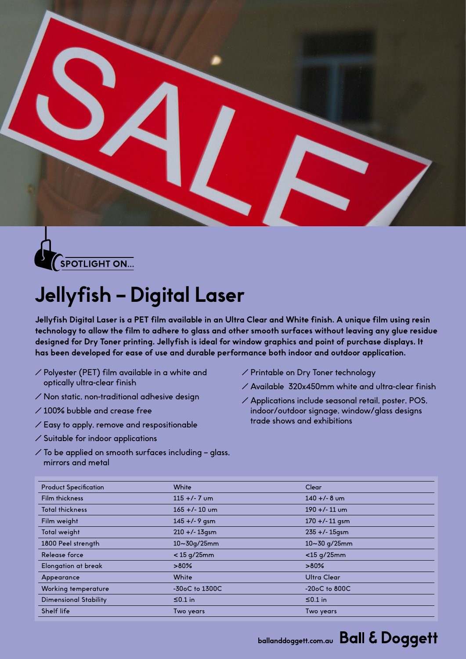



## **Jellyfish – Digital Laser**

**Jellyfish Digital Laser is a PET film available in an Ultra Clear and White finish. A unique film using resin technology to allow the film to adhere to glass and other smooth surfaces without leaving any glue residue designed for Dry Toner printing. Jellyfish is ideal for window graphics and point of purchase displays. It has been developed for ease of use and durable performance both indoor and outdoor application.**

- $\angle$  Polyester (PET) film available in a white and optically ultra-clear finish
- $\angle$  Non static, non-traditional adhesive design
- $\angle$  100% bubble and crease free
- $\angle$  Easy to apply, remove and respositionable
- $\angle$  Suitable for indoor applications
- $\angle$  To be applied on smooth surfaces including glass, mirrors and metal
- � Printable on Dry Toner technology
- $\angle$  Available 320x450mm white and ultra-clear finish
- $\angle$  Applications include seasonal retail, poster, POS, indoor/outdoor signage, window/glass designs trade shows and exhibitions

| <b>Product Specification</b> | White               | Clear                  |
|------------------------------|---------------------|------------------------|
| Film thickness               | $115 + 7$ um        | $140 + (-8)$ um        |
| <b>Total thickness</b>       | $165 +/- 10$ um     | $190 + (-11)$ um       |
| Film weight                  | $145 +/- 9$ qsm     | $170 + (-11)$ qsm      |
| Total weight                 | $210 + 13$ gsm      | $235 + 1.15$ gsm       |
| 1800 Peel strength           | $10 - 30q/25mm$     | $10 - 30$ g/25mm       |
| Release force                | $<$ 15 g/25mm       | $<$ 15 g/25mm          |
| Elongation at break          | $>80\%$             | $>80\%$                |
| Appearance                   | White               | <b>Ultra Clear</b>     |
| Working temperature          | $-30$ oC to $1300C$ | $-20$ o $C$ to 800 $C$ |
| <b>Dimensional Stability</b> | $\leq 0.1$ in       | $\leq 0.1$ in          |
| Shelf life                   | Two years           | Two years              |